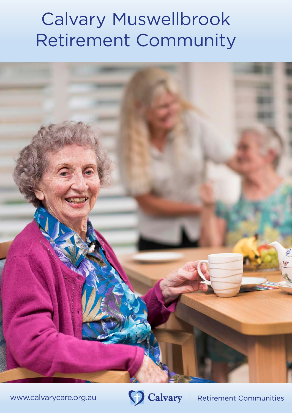## Calvary Muswellbrook Retirement Community



www.calvarycare.org.au



**Retirement Communities**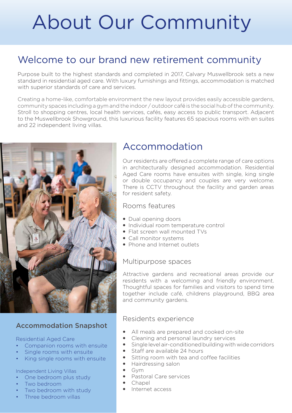# About Our Community

## Welcome to our brand new retirement community

Purpose built to the highest standards and completed in 2017, Calvary Muswellbrook sets a new standard in residential aged care. With luxury furnishings and fittings, accommodation is matched with superior standards of care and services.

Creating a home-like, comfortable environment the new layout provides easily accessible gardens, community spaces including a gym and the indoor / outdoor café is the social hub of the community. Stroll to shopping centres, local health services, cafés, easy access to public transport. Adjacent to the Muswellbrook Showground, this luxurious facility features 65 spacious rooms with en suites and 22 independent living villas.



### Accommodation Snapshot

#### Residential Aged Care

- Companion rooms with ensuite
- Single rooms with ensuite
- King single rooms with ensuite

#### Independent Living Villas

- One bedroom plus study
- Two bedroom
- Two bedroom with study
- Three bedroom villas

## Accommodation

Our residents are offered a complete range of care options in architecturally designed accommodation. Residential Aged Care rooms have ensuites with single, king single or double occupancy and couples are very welcome. There is CCTV throughout the facility and garden areas for resident safety.

#### Rooms features

- Dual opening doors
- Individual room temperature control
- Flat screen wall mounted TVs
- Call monitor systems
- Phone and Internet outlets

#### Multipurpose spaces

Attractive gardens and recreational areas provide our residents with a welcoming and friendly environment. Thoughtful spaces for families and visitors to spend time together include café, childrens playground, BBQ area and community gardens.

#### Residents experience

- All meals are prepared and cooked on-site
- Cleaning and personal laundry services
- $\bullet$  Single level air-conditioned building with wide corridors
- Staff are available 24 hours
- Sitting room with tea and coffee facilities
- Hairdressing salon
- Gym
- Pastoral Care services
- Chapel
- Internet access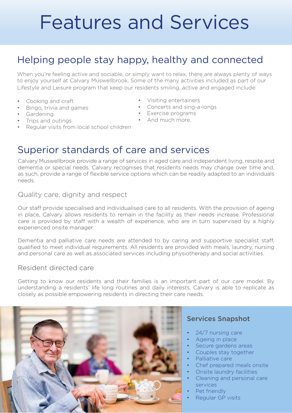# Features and Services

## Helping people stay happy, healthy and connected

When you're feeling active and sociable, or simply want to relax, there are always plenty of ways to enjoy yourself at Calvary Muswellbrook. Some of the many activities included as part of our Lifestyle and Leisure program that keep our residents smiling, active and engaged include:

- Cooking and craft
- Bingo, trivia and games
- Gardening
- Trips and outings
- Regular visits from local school children
- Visiting entertainers
- Concerts and sing-a-longs
- Exercise programs
- And much more.

## Superior standards of care and services

Calvary Muswellbrook provide a range of services in aged care and independent living, respite and dementia or special needs. Calvary recognises that residents needs may change over time and, as such, provide a range of flexible service options which can be readily adapted to an individuals needs.

Quality care, dignity and respect

Our staff provide specialised and individualised care to all residents. With the provision of ageing in place, Calvary allows residents to remain in the facility as their needs increase. Professional care is provided by staff with a wealth of experience, who are in turn supervised by a highly experienced onsite manager.

Dementia and palliative care needs are attended to by caring and supportive specialist staff, qualified to meet individual requirements. All residents are provided with meals, laundry, nursing and personal care as well as associated services including physiotherapy and social activities.

#### Resident directed care

Getting to know our residents and their families is an important part of our care model. By understanding a residents' life long routines and daily interests, Calvary is able to replicate as closely as possible empowering residents in directing their care needs.



#### Services Snapshot

- 24/7 nursing care
- Ageing in place
- Secure gardens areas
- Couples stay together
- Palliative care
- Chef prepared meals onsite
- Onsite laundry facilities
- Cleaning and personal care services
- Pet friendly
- Regular GP visits